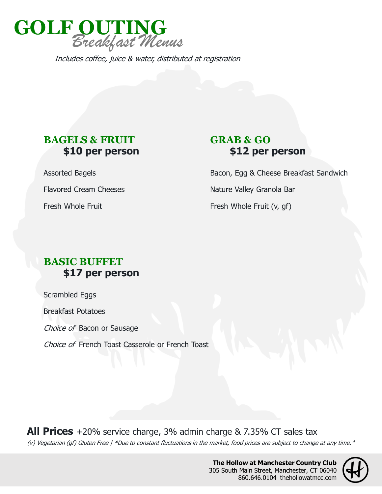

Includes coffee, juice & water, distributed at registration

## **BAGELS & FRUIT \$10 per person**

Assorted Bagels

Flavored Cream Cheeses

Fresh Whole Fruit

## **GRAB & GO \$12 per person**

Bacon, Egg & Cheese Breakfast Sandwich Nature Valley Granola Bar Fresh Whole Fruit (v, gf)

## **BASIC BUFFET \$17 per person**

Scrambled Eggs

Breakfast Potatoes

Choice of Bacon or Sausage

Choice of French Toast Casserole or French Toast

(v) Vegetarian (gf) Gluten Free | \*Due to constant fluctuations in the market, food prices are subject to change at any time. \* **All Prices** +20% service charge, 3% admin charge & 7.35% CT sales tax

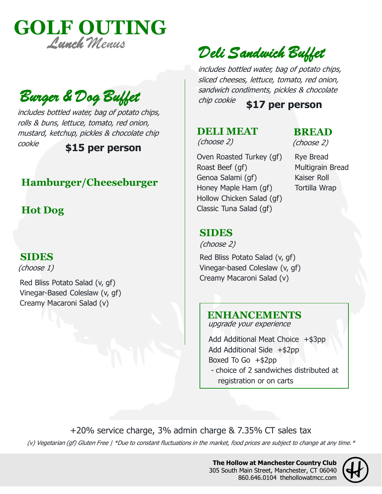

includes bottled water, bag of potato chips, rolls & buns, lettuce, tomato, red onion, mustard, ketchup, pickles & chocolate chip cookie **\$15 per person**

## **Hamburger/Cheeseburger**

## **Hot Dog**

### **SIDES**

(choose 1)

Red Bliss Potato Salad (v, gf) Vinegar-Based Coleslaw (v, gf) Creamy Macaroni Salad (v)

## Deli Sandwich Buffet

includes bottled water, bag of potato chips, sliced cheeses, lettuce, tomato, red onion, sandwich condiments, pickles & chocolate chip cookie **Burger & Dog Buffet** Sandwich Conditions, pickes a choco

## **DELI MEAT**

#### **BREAD**  (choose 2)

Oven Roasted Turkey (gf) Roast Beef (gf) Genoa Salami (gf) Honey Maple Ham (gf) Hollow Chicken Salad (gf) Classic Tuna Salad (gf)

Rye Bread Multigrain Bread Kaiser Roll Tortilla Wrap

### **SIDES**

(choose 2)

Red Bliss Potato Salad (v, gf) Vinegar-based Coleslaw (v, gf) Creamy Macaroni Salad (v) (choose 2)

## **ENHANCEMENTS**

upgrade your experience

Add Additional Meat Choice +\$3pp Add Additional Side +\$2pp Boxed To Go  $+$ \$2pp - choice of 2 sandwiches distributed at registration or on carts

+20% service charge, 3% admin charge & 7.35% CT sales tax

(v) Vegetarian (gf) Gluten Free | \*Due to constant fluctuations in the market, food prices are subject to change at any time. \*

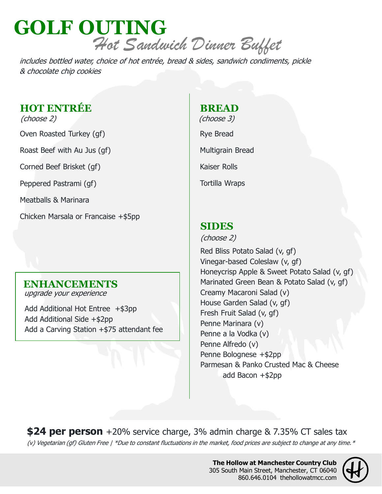## **GOLF OUTING** Hot Sandwich Dinner Buffet

includes bottled water, choice of hot entrée, bread & sides, sandwich condiments, pickle & chocolate chip cookies

## **HOT ENTRÉE**

(choose 2)

Oven Roasted Turkey (gf)

Roast Beef with Au Jus (gf)

Corned Beef Brisket (gf)

Peppered Pastrami (gf)

Meatballs & Marinara

Chicken Marsala or Francaise +\$5pp

## **ENHANCEMENTS**

upgrade your experience

Add Additional Hot Entree +\$3pp Add Additional Side +\$2pp Add a Carving Station +\$75 attendant fee

## **BREAD**

Rye Bread Multigrain Bread Kaiser Rolls Tortilla Wraps (choose 3)

## **SIDES**

(choose 2)

Red Bliss Potato Salad (v, gf) Vinegar-based Coleslaw (v, gf) Honeycrisp Apple & Sweet Potato Salad (v, gf) Marinated Green Bean & Potato Salad (v, gf) Creamy Macaroni Salad (v) House Garden Salad (v, gf) Fresh Fruit Salad (v, gf) Penne Marinara (v) Penne a la Vodka (v) Penne Alfredo (v) Penne Bolognese +\$2pp Parmesan & Panko Crusted Mac & Cheese add Bacon +\$2pp

(v) Vegetarian (gf) Gluten Free | \*Due to constant fluctuations in the market, food prices are subject to change at any time. \* **\$24 per person** +20% service charge, 3% admin charge & 7.35% CT sales tax

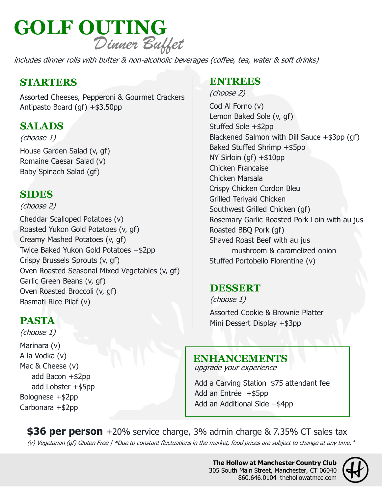

includes dinner rolls with butter & non-alcoholic beverages (coffee, tea, water & soft drinks)

## **STARTERS**

Assorted Cheeses, Pepperoni & Gourmet Crackers Antipasto Board (gf) +\$3.50pp

## **SALADS**

(choose 1)

House Garden Salad (v, gf) Romaine Caesar Salad (v) Baby Spinach Salad (gf)

## **SIDES**

### (choose 2)

Cheddar Scalloped Potatoes (v) Roasted Yukon Gold Potatoes (v, gf) Creamy Mashed Potatoes (v, gf) Twice Baked Yukon Gold Potatoes +\$2pp Crispy Brussels Sprouts (v, gf) Oven Roasted Seasonal Mixed Vegetables (v, gf) Garlic Green Beans (v, gf) Oven Roasted Broccoli (v, gf) Basmati Rice Pilaf (v)

## **PASTA**

Marinara (v) A la Vodka (v) Mac & Cheese (v) add Bacon +\$2pp add Lobster +\$5pp Bolognese +\$2pp Carbonara +\$2pp (choose 1)

## **ENTREES**

#### (choose 2)

Cod Al Forno (v) Lemon Baked Sole (v, gf) Stuffed Sole +\$2pp Blackened Salmon with Dill Sauce +\$3pp (gf) Baked Stuffed Shrimp +\$5pp NY Sirloin (gf) +\$10pp Chicken Francaise Chicken Marsala Crispy Chicken Cordon Bleu Grilled Teriyaki Chicken Southwest Grilled Chicken (gf) Rosemary Garlic Roasted Pork Loin with au jus Roasted BBQ Pork (gf) Shaved Roast Beef with au jus mushroom & caramelized onion Stuffed Portobello Florentine (v)

## **DESSERT**

Assorted Cookie & Brownie Platter Mini Dessert Display +\$3pp (choose 1)

### **ENHANCEMENTS**

upgrade your experience

Add a Carving Station \$75 attendant fee Add an Entrée +\$5pp Add an Additional Side +\$4pp

**\$36 per person** +20% service charge, 3% admin charge & 7.35% CT sales tax

(v) Vegetarian (gf) Gluten Free | \*Due to constant fluctuations in the market, food prices are subject to change at any time. \*

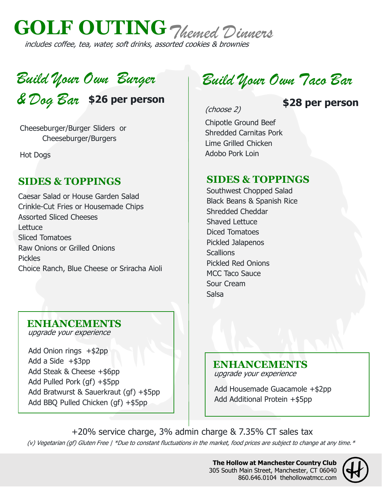

# Build Your Own Burger

Cheeseburger/Burger Sliders or Cheeseburger/Burgers

Hot Dogs

## **SIDES & TOPPINGS**

Caesar Salad or House Garden Salad Crinkle-Cut Fries or Housemade Chips Assorted Sliced Cheeses **Lettuce** Sliced Tomatoes Raw Onions or Grilled Onions Pickles Choice Ranch, Blue Cheese or Sriracha Aioli

## Build Your Own Taco Bar

(choose 2)

## & Dog Bar **\$26 per person \$28 per person**

Chipotle Ground Beef Shredded Carnitas Pork Lime Grilled Chicken Adobo Pork Loin

## **SIDES & TOPPINGS**

Southwest Chopped Salad Black Beans & Spanish Rice Shredded Cheddar Shaved Lettuce Diced Tomatoes Pickled Jalapenos **Scallions** Pickled Red Onions MCC Taco Sauce Sour Cream Salsa

## **ENHANCEMENTS**

upgrade your experience

Add Onion rings +\$2pp Add a Side  $+$ \$3pp Add Steak & Cheese +\$6pp Add Pulled Pork (gf) +\$5pp Add Bratwurst & Sauerkraut (gf) +\$5pp Add BBQ Pulled Chicken (gf) +\$5pp

#### **ENHANCEMENTS** upgrade your experience

Add Housemade Guacamole +\$2pp Add Additional Protein +\$5pp

(v) Vegetarian (gf) Gluten Free | \*Due to constant fluctuations in the market, food prices are subject to change at any time. \* +20% service charge, 3% admin charge & 7.35% CT sales tax

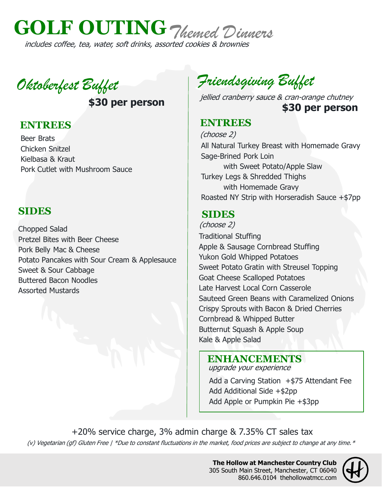

Oktoberfest Buffet

**\$30 per person**

## **ENTREES**

Beer Brats Chicken Snitzel Kielbasa & Kraut Pork Cutlet with Mushroom Sauce

## **SIDES**

Chopped Salad Pretzel Bites with Beer Cheese Pork Belly Mac & Cheese Potato Pancakes with Sour Cream & Applesauce Sweet & Sour Cabbage Buttered Bacon Noodles Assorted Mustards

Friendsgiving Buffet

jellied cranberry sauce & cran-orange chutney **\$30 per person**

## **ENTREES**

(choose 2) All Natural Turkey Breast with Homemade Gravy Sage-Brined Pork Loin with Sweet Potato/Apple Slaw Turkey Legs & Shredded Thighs with Homemade Gravy Roasted NY Strip with Horseradish Sauce +\$7pp

## **SIDES**

Traditional Stuffing Apple & Sausage Cornbread Stuffing Yukon Gold Whipped Potatoes Sweet Potato Gratin with Streusel Topping Goat Cheese Scalloped Potatoes Late Harvest Local Corn Casserole Sauteed Green Beans with Caramelized Onions Crispy Sprouts with Bacon & Dried Cherries Cornbread & Whipped Butter Butternut Squash & Apple Soup Kale & Apple Salad (choose 2)

## **ENHANCEMENTS**

upgrade your experience

Add a Carving Station +\$75 Attendant Fee Add Additional Side +\$2pp Add Apple or Pumpkin Pie +\$3pp

(v) Vegetarian (gf) Gluten Free | \*Due to constant fluctuations in the market, food prices are subject to change at any time. \* +20% service charge, 3% admin charge & 7.35% CT sales tax